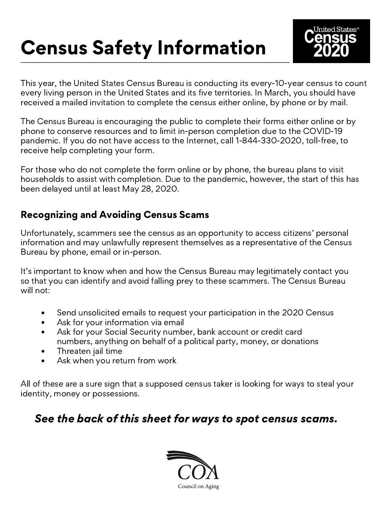# Census Safety Information



This year, the United States Census Bureau is conducting its every-10-year census to count every living person in the United States and its five territories. In March, you should have received a mailed invitation to complete the census either online, by phone or by mail.

The Census Bureau is encouraging the public to complete their forms either online or by phone to conserve resources and to limit in-person completion due to the COVID-19 pandemic. If you do not have access to the Internet, call 1-844-330-2020, toll-free, to receive help completing your form.

For those who do not complete the form online or by phone, the bureau plans to visit households to assist with completion. Due to the pandemic, however, the start of this has been delayed until at least May 28, 2020.

#### Recognizing and Avoiding Census Scams

Unfortunately, scammers see the census as an opportunity to access citizens' personal information and may unlawfully represent themselves as a representative of the Census Bureau by phone, email or in-person.

It's important to know when and how the Census Bureau may legitimately contact you so that you can identify and avoid falling prey to these scammers. The Census Bureau will not:

- Send unsolicited emails to request your participation in the 2020 Census  $\bullet$
- Ask for your information via email  $\bullet$
- $\bullet$ Ask for your Social Security number, bank account or credit card numbers, anything on behalf of a political party, money, or donations
- Threaten jail time  $\bullet$
- Ask when you return from work  $\bullet$

All of these are a sure sign that a supposed census taker is looking for ways to steal your identity, money or possessions.

### See the back of this sheet for ways to spot census scams.